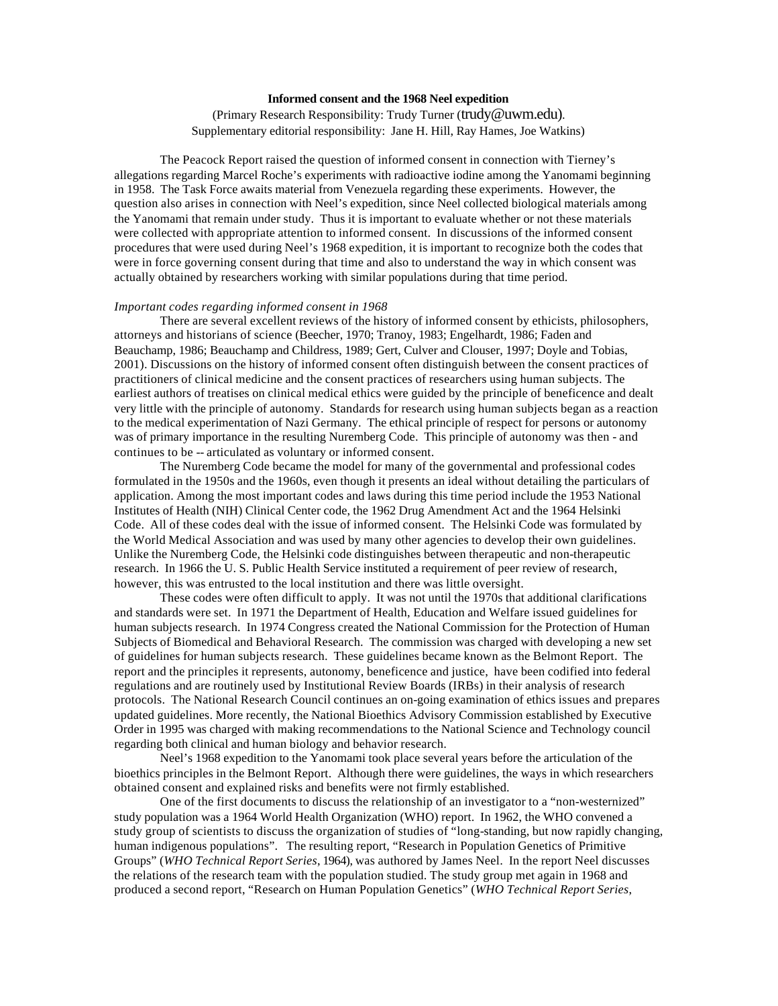# **Informed consent and the 1968 Neel expedition**

(Primary Research Responsibility: Trudy Turner (trudy@uwm.edu). Supplementary editorial responsibility: Jane H. Hill, Ray Hames, Joe Watkins)

The Peacock Report raised the question of informed consent in connection with Tierney's allegations regarding Marcel Roche's experiments with radioactive iodine among the Yanomami beginning in 1958. The Task Force awaits material from Venezuela regarding these experiments. However, the question also arises in connection with Neel's expedition, since Neel collected biological materials among the Yanomami that remain under study. Thus it is important to evaluate whether or not these materials were collected with appropriate attention to informed consent. In discussions of the informed consent procedures that were used during Neel's 1968 expedition, it is important to recognize both the codes that were in force governing consent during that time and also to understand the way in which consent was actually obtained by researchers working with similar populations during that time period.

### *Important codes regarding informed consent in 1968*

There are several excellent reviews of the history of informed consent by ethicists, philosophers, attorneys and historians of science (Beecher, 1970; Tranoy, 1983; Engelhardt, 1986; Faden and Beauchamp, 1986; Beauchamp and Childress, 1989; Gert, Culver and Clouser, 1997; Doyle and Tobias, 2001). Discussions on the history of informed consent often distinguish between the consent practices of practitioners of clinical medicine and the consent practices of researchers using human subjects. The earliest authors of treatises on clinical medical ethics were guided by the principle of beneficence and dealt very little with the principle of autonomy. Standards for research using human subjects began as a reaction to the medical experimentation of Nazi Germany. The ethical principle of respect for persons or autonomy was of primary importance in the resulting Nuremberg Code. This principle of autonomy was then - and continues to be -- articulated as voluntary or informed consent.

The Nuremberg Code became the model for many of the governmental and professional codes formulated in the 1950s and the 1960s, even though it presents an ideal without detailing the particulars of application. Among the most important codes and laws during this time period include the 1953 National Institutes of Health (NIH) Clinical Center code, the 1962 Drug Amendment Act and the 1964 Helsinki Code. All of these codes deal with the issue of informed consent. The Helsinki Code was formulated by the World Medical Association and was used by many other agencies to develop their own guidelines. Unlike the Nuremberg Code, the Helsinki code distinguishes between therapeutic and non-therapeutic research. In 1966 the U. S. Public Health Service instituted a requirement of peer review of research, however, this was entrusted to the local institution and there was little oversight.

These codes were often difficult to apply. It was not until the 1970s that additional clarifications and standards were set. In 1971 the Department of Health, Education and Welfare issued guidelines for human subjects research. In 1974 Congress created the National Commission for the Protection of Human Subjects of Biomedical and Behavioral Research. The commission was charged with developing a new set of guidelines for human subjects research. These guidelines became known as the Belmont Report. The report and the principles it represents, autonomy, beneficence and justice, have been codified into federal regulations and are routinely used by Institutional Review Boards (IRBs) in their analysis of research protocols. The National Research Council continues an on-going examination of ethics issues and prepares updated guidelines. More recently, the National Bioethics Advisory Commission established by Executive Order in 1995 was charged with making recommendations to the National Science and Technology council regarding both clinical and human biology and behavior research.

Neel's 1968 expedition to the Yanomami took place several years before the articulation of the bioethics principles in the Belmont Report. Although there were guidelines, the ways in which researchers obtained consent and explained risks and benefits were not firmly established.

One of the first documents to discuss the relationship of an investigator to a "non-westernized" study population was a 1964 World Health Organization (WHO) report. In 1962, the WHO convened a study group of scientists to discuss the organization of studies of "long-standing, but now rapidly changing, human indigenous populations". The resulting report, "Research in Population Genetics of Primitive Groups" (*WHO Technical Report Series*, 1964), was authored by James Neel. In the report Neel discusses the relations of the research team with the population studied. The study group met again in 1968 and produced a second report, "Research on Human Population Genetics" (*WHO Technical Report Series*,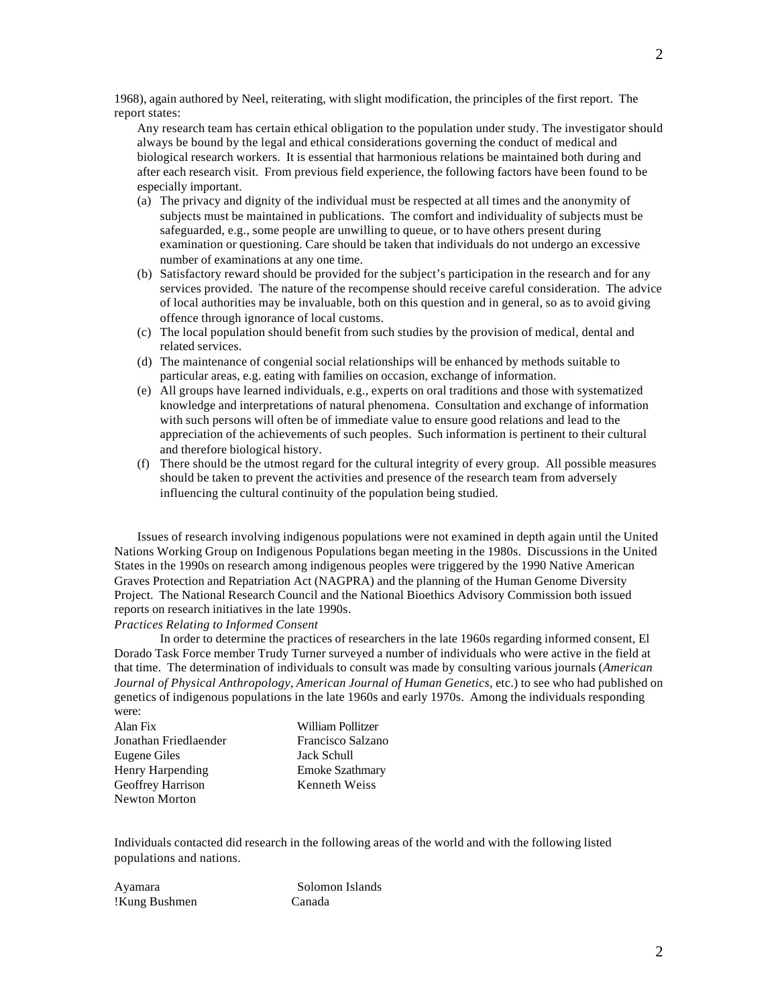1968), again authored by Neel, reiterating, with slight modification, the principles of the first report. The report states:

Any research team has certain ethical obligation to the population under study. The investigator should always be bound by the legal and ethical considerations governing the conduct of medical and biological research workers. It is essential that harmonious relations be maintained both during and after each research visit. From previous field experience, the following factors have been found to be especially important.

- (a) The privacy and dignity of the individual must be respected at all times and the anonymity of subjects must be maintained in publications. The comfort and individuality of subjects must be safeguarded, e.g., some people are unwilling to queue, or to have others present during examination or questioning. Care should be taken that individuals do not undergo an excessive number of examinations at any one time.
- (b) Satisfactory reward should be provided for the subject's participation in the research and for any services provided. The nature of the recompense should receive careful consideration. The advice of local authorities may be invaluable, both on this question and in general, so as to avoid giving offence through ignorance of local customs.
- (c) The local population should benefit from such studies by the provision of medical, dental and related services.
- (d) The maintenance of congenial social relationships will be enhanced by methods suitable to particular areas, e.g. eating with families on occasion, exchange of information.
- (e) All groups have learned individuals, e.g., experts on oral traditions and those with systematized knowledge and interpretations of natural phenomena. Consultation and exchange of information with such persons will often be of immediate value to ensure good relations and lead to the appreciation of the achievements of such peoples. Such information is pertinent to their cultural and therefore biological history.
- (f) There should be the utmost regard for the cultural integrity of every group. All possible measures should be taken to prevent the activities and presence of the research team from adversely influencing the cultural continuity of the population being studied.

Issues of research involving indigenous populations were not examined in depth again until the United Nations Working Group on Indigenous Populations began meeting in the 1980s. Discussions in the United States in the 1990s on research among indigenous peoples were triggered by the 1990 Native American Graves Protection and Repatriation Act (NAGPRA) and the planning of the Human Genome Diversity Project. The National Research Council and the National Bioethics Advisory Commission both issued reports on research initiatives in the late 1990s.

## *Practices Relating to Informed Consent*

In order to determine the practices of researchers in the late 1960s regarding informed consent, El Dorado Task Force member Trudy Turner surveyed a number of individuals who were active in the field at that time. The determination of individuals to consult was made by consulting various journals (*American Journal of Physical Anthropology*, *American Journal of Human Genetics*, etc.) to see who had published on genetics of indigenous populations in the late 1960s and early 1970s. Among the individuals responding were:

| Alan Fix              | William Pollitzer      |
|-----------------------|------------------------|
| Jonathan Friedlaender | Francisco Salzano      |
| Eugene Giles          | Jack Schull            |
| Henry Harpending      | <b>Emoke Szathmary</b> |
| Geoffrey Harrison     | <b>Kenneth Weiss</b>   |
| <b>Newton Morton</b>  |                        |

Individuals contacted did research in the following areas of the world and with the following listed populations and nations.

| Ayamara       |  |
|---------------|--|
| !Kung Bushmen |  |

Solomon Islands Canada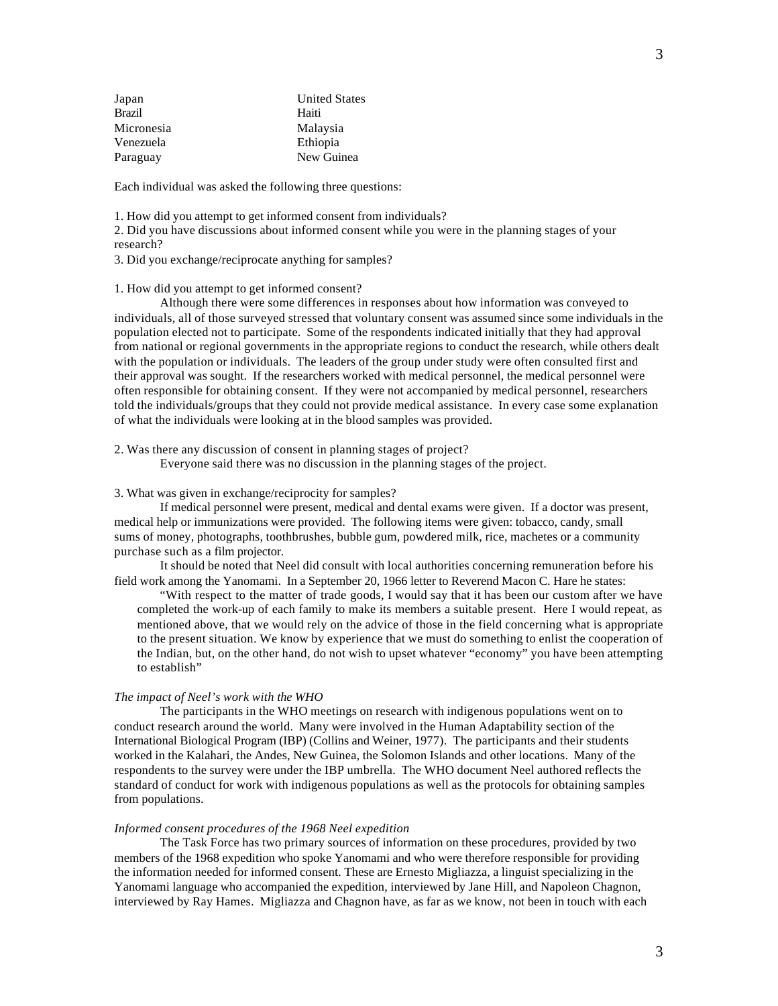| Japan      | <b>United States</b> |
|------------|----------------------|
| Brazil     | Haiti                |
| Micronesia | Malaysia             |
| Venezuela  | Ethiopia             |
| Paraguay   | New Guinea           |

Each individual was asked the following three questions:

1. How did you attempt to get informed consent from individuals?

2. Did you have discussions about informed consent while you were in the planning stages of your research?

3. Did you exchange/reciprocate anything for samples?

#### 1. How did you attempt to get informed consent?

Although there were some differences in responses about how information was conveyed to individuals, all of those surveyed stressed that voluntary consent was assumed since some individuals in the population elected not to participate. Some of the respondents indicated initially that they had approval from national or regional governments in the appropriate regions to conduct the research, while others dealt with the population or individuals. The leaders of the group under study were often consulted first and their approval was sought. If the researchers worked with medical personnel, the medical personnel were often responsible for obtaining consent. If they were not accompanied by medical personnel, researchers told the individuals/groups that they could not provide medical assistance. In every case some explanation of what the individuals were looking at in the blood samples was provided.

2. Was there any discussion of consent in planning stages of project?

Everyone said there was no discussion in the planning stages of the project.

#### 3. What was given in exchange/reciprocity for samples?

If medical personnel were present, medical and dental exams were given. If a doctor was present, medical help or immunizations were provided. The following items were given: tobacco, candy, small sums of money, photographs, toothbrushes, bubble gum, powdered milk, rice, machetes or a community purchase such as a film projector.

It should be noted that Neel did consult with local authorities concerning remuneration before his field work among the Yanomami. In a September 20, 1966 letter to Reverend Macon C. Hare he states:

"With respect to the matter of trade goods, I would say that it has been our custom after we have completed the work-up of each family to make its members a suitable present. Here I would repeat, as mentioned above, that we would rely on the advice of those in the field concerning what is appropriate to the present situation. We know by experience that we must do something to enlist the cooperation of the Indian, but, on the other hand, do not wish to upset whatever "economy" you have been attempting to establish"

#### *The impact of Neel's work with the WHO*

The participants in the WHO meetings on research with indigenous populations went on to conduct research around the world. Many were involved in the Human Adaptability section of the International Biological Program (IBP) (Collins and Weiner, 1977). The participants and their students worked in the Kalahari, the Andes, New Guinea, the Solomon Islands and other locations. Many of the respondents to the survey were under the IBP umbrella. The WHO document Neel authored reflects the standard of conduct for work with indigenous populations as well as the protocols for obtaining samples from populations.

#### *Informed consent procedures of the 1968 Neel expedition*

The Task Force has two primary sources of information on these procedures, provided by two members of the 1968 expedition who spoke Yanomami and who were therefore responsible for providing the information needed for informed consent. These are Ernesto Migliazza, a linguist specializing in the Yanomami language who accompanied the expedition, interviewed by Jane Hill, and Napoleon Chagnon, interviewed by Ray Hames. Migliazza and Chagnon have, as far as we know, not been in touch with each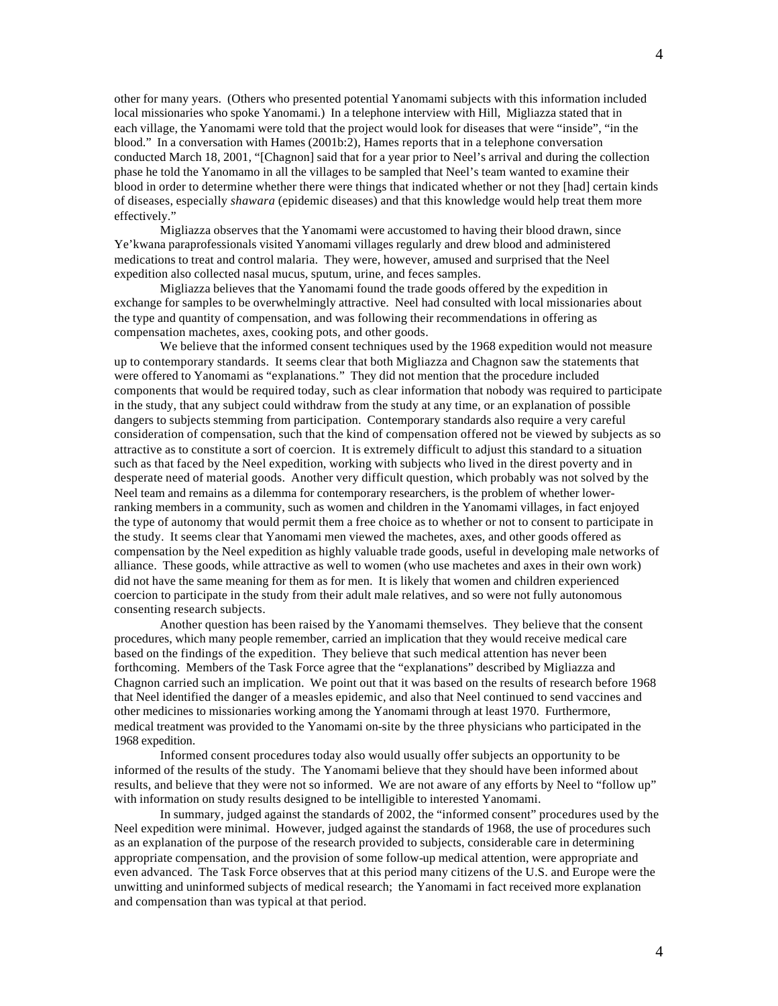other for many years. (Others who presented potential Yanomami subjects with this information included local missionaries who spoke Yanomami.) In a telephone interview with Hill, Migliazza stated that in each village, the Yanomami were told that the project would look for diseases that were "inside", "in the blood." In a conversation with Hames (2001b:2), Hames reports that in a telephone conversation conducted March 18, 2001, "[Chagnon] said that for a year prior to Neel's arrival and during the collection phase he told the Yanomamo in all the villages to be sampled that Neel's team wanted to examine their blood in order to determine whether there were things that indicated whether or not they [had] certain kinds of diseases, especially *shawara* (epidemic diseases) and that this knowledge would help treat them more effectively."

Migliazza observes that the Yanomami were accustomed to having their blood drawn, since Ye'kwana paraprofessionals visited Yanomami villages regularly and drew blood and administered medications to treat and control malaria. They were, however, amused and surprised that the Neel expedition also collected nasal mucus, sputum, urine, and feces samples.

Migliazza believes that the Yanomami found the trade goods offered by the expedition in exchange for samples to be overwhelmingly attractive. Neel had consulted with local missionaries about the type and quantity of compensation, and was following their recommendations in offering as compensation machetes, axes, cooking pots, and other goods.

We believe that the informed consent techniques used by the 1968 expedition would not measure up to contemporary standards. It seems clear that both Migliazza and Chagnon saw the statements that were offered to Yanomami as "explanations." They did not mention that the procedure included components that would be required today, such as clear information that nobody was required to participate in the study, that any subject could withdraw from the study at any time, or an explanation of possible dangers to subjects stemming from participation. Contemporary standards also require a very careful consideration of compensation, such that the kind of compensation offered not be viewed by subjects as so attractive as to constitute a sort of coercion. It is extremely difficult to adjust this standard to a situation such as that faced by the Neel expedition, working with subjects who lived in the direst poverty and in desperate need of material goods. Another very difficult question, which probably was not solved by the Neel team and remains as a dilemma for contemporary researchers, is the problem of whether lowerranking members in a community, such as women and children in the Yanomami villages, in fact enjoyed the type of autonomy that would permit them a free choice as to whether or not to consent to participate in the study. It seems clear that Yanomami men viewed the machetes, axes, and other goods offered as compensation by the Neel expedition as highly valuable trade goods, useful in developing male networks of alliance. These goods, while attractive as well to women (who use machetes and axes in their own work) did not have the same meaning for them as for men. It is likely that women and children experienced coercion to participate in the study from their adult male relatives, and so were not fully autonomous consenting research subjects.

Another question has been raised by the Yanomami themselves. They believe that the consent procedures, which many people remember, carried an implication that they would receive medical care based on the findings of the expedition. They believe that such medical attention has never been forthcoming. Members of the Task Force agree that the "explanations" described by Migliazza and Chagnon carried such an implication. We point out that it was based on the results of research before 1968 that Neel identified the danger of a measles epidemic, and also that Neel continued to send vaccines and other medicines to missionaries working among the Yanomami through at least 1970. Furthermore, medical treatment was provided to the Yanomami on-site by the three physicians who participated in the 1968 expedition.

Informed consent procedures today also would usually offer subjects an opportunity to be informed of the results of the study. The Yanomami believe that they should have been informed about results, and believe that they were not so informed. We are not aware of any efforts by Neel to "follow up" with information on study results designed to be intelligible to interested Yanomami.

In summary, judged against the standards of 2002, the "informed consent" procedures used by the Neel expedition were minimal. However, judged against the standards of 1968, the use of procedures such as an explanation of the purpose of the research provided to subjects, considerable care in determining appropriate compensation, and the provision of some follow-up medical attention, were appropriate and even advanced. The Task Force observes that at this period many citizens of the U.S. and Europe were the unwitting and uninformed subjects of medical research; the Yanomami in fact received more explanation and compensation than was typical at that period.